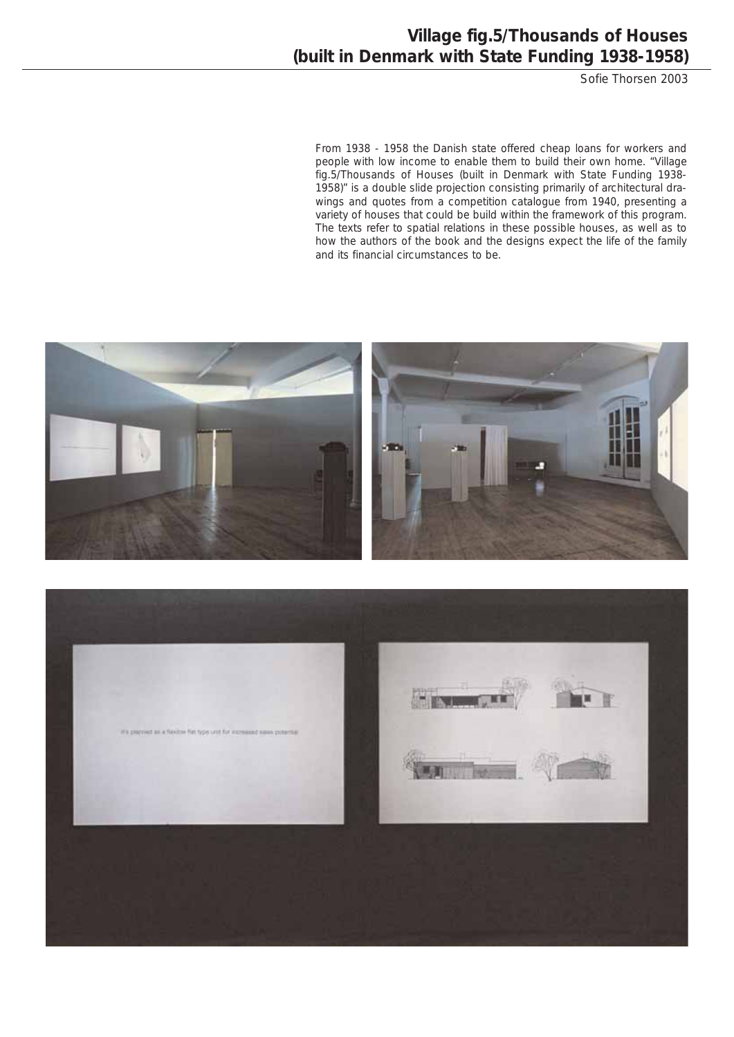Sofie Thorsen 2003

From 1938 - 1958 the Danish state offered cheap loans for workers and people with low income to enable them to build their own home. "Village fig.5/Thousands of Houses (built in Denmark with State Funding 1938- 1958)" is a double slide projection consisting primarily of architectural drawings and quotes from a competition catalogue from 1940, presenting a variety of houses that could be build within the framework of this program. The texts refer to spatial relations in these possible houses, as well as to how the authors of the book and the designs expect the life of the family and its financial circumstances to be.



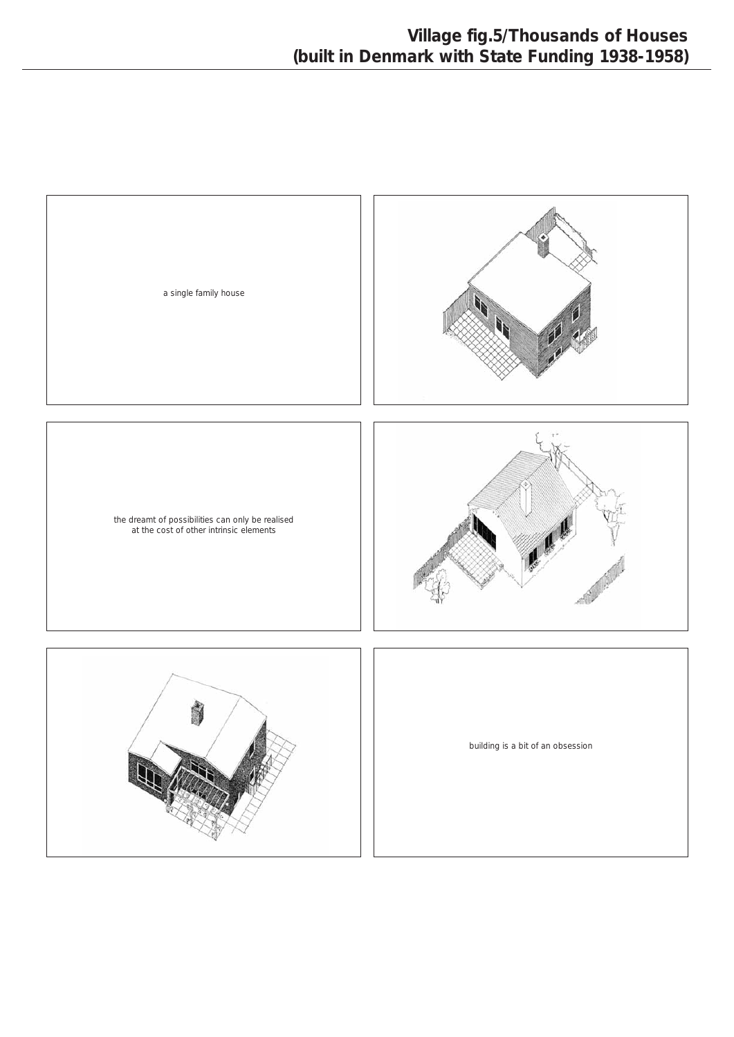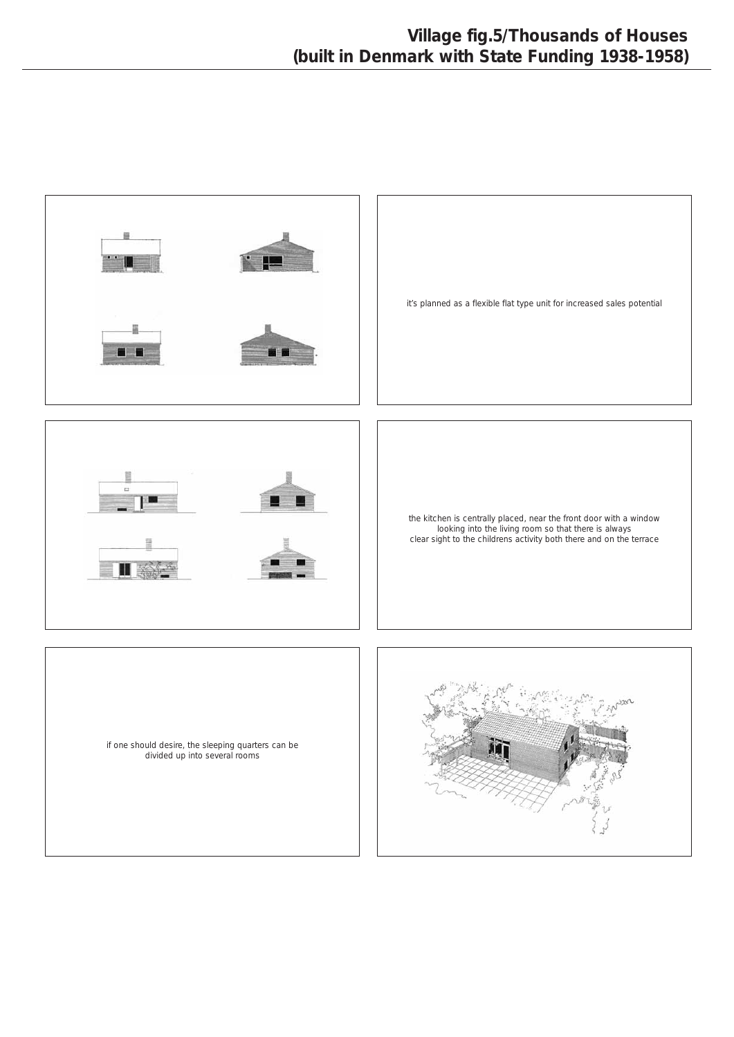